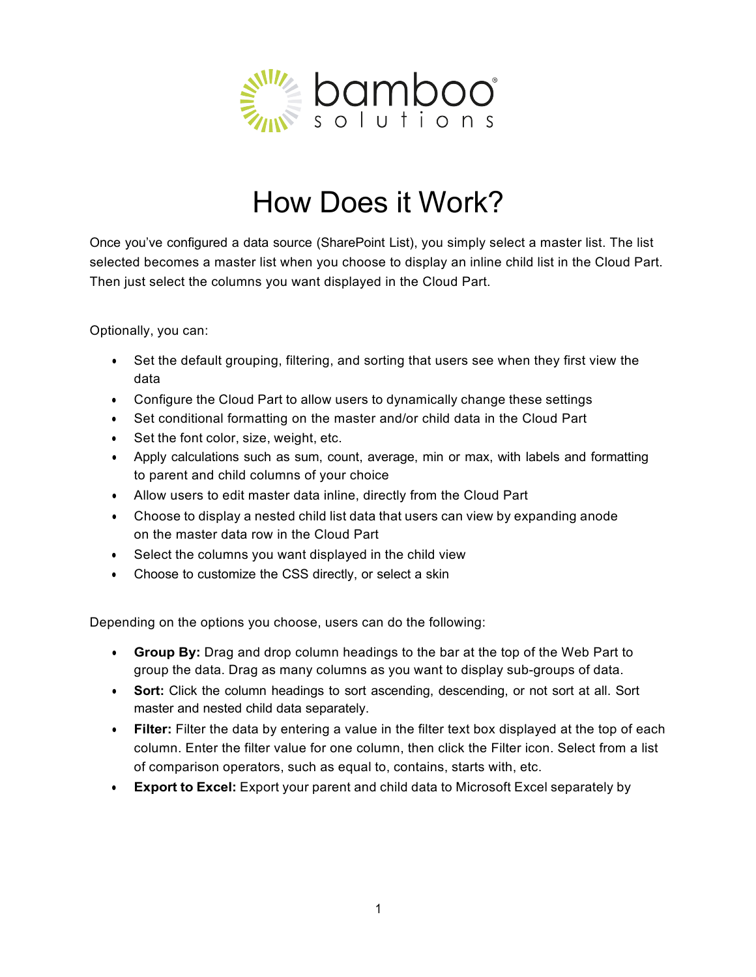

## How Does it Work?

Once you've configured a data source (SharePoint List), you simply select a master list. The list selected becomes a master list when you choose to display an inline child list in the Cloud Part. Then just select the columns you want displayed in the Cloud Part.

Optionally, you can:

- Set the default grouping, filtering, and sorting that users see when they first view the data
- Configure the Cloud Part to allow users to dynamically change these settings
- Set conditional formatting on the master and/or child data in the Cloud Part
- Set the font color, size, weight, etc.
- Apply calculations such as sum, count, average, min or max, with labels and formatting to parent and child columns of your choice
- Allow users to edit master data inline, directly from the Cloud Part
- Choose to display a nested child list data that users can view by expanding anode on the master data row in the Cloud Part
- Select the columns you want displayed in the child view
- Choose to customize the CSS directly, or select a skin

Depending on the options you choose, users can do the following:

- **Group By:** Drag and drop column headings to the bar at the top of the Web Part to group the data. Drag as many columns as you want to display sub-groups of data.
- **Sort:** Click the column headings to sort ascending, descending, or not sort at all. Sort master and nested child data separately.
- **Filter:** Filter the data by entering a value in the filter text box displayed at the top of each column. Enter the filter value for one column, then click the Filter icon. Select from a list of comparison operators, such as equal to, contains, starts with, etc.
- **Export to Excel:** Export your parent and child data to Microsoft Excel separately by